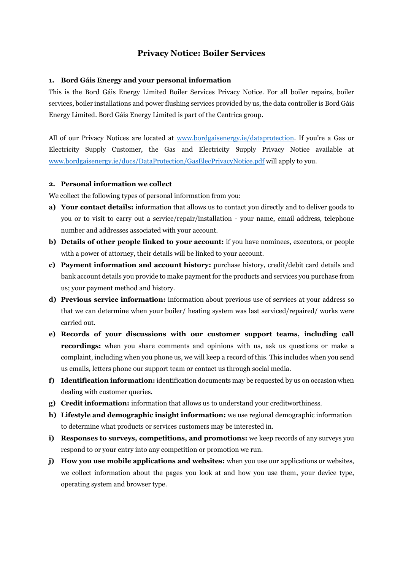# **Privacy Notice: Boiler Services**

### **1. Bord Gáis Energy and your personal information**

This is the Bord Gáis Energy Limited Boiler Services Privacy Notice. For all boiler repairs, boiler services, boiler installations and power flushing services provided by us, the data controller is Bord Gáis Energy Limited. Bord Gáis Energy Limited is part of the Centrica group.

All of our Privacy Notices are located at [www.bordgaisenergy.ie/dataprotection.](http://www.bordgaisenergy.ie/dataprotection) If you're a Gas or Electricity Supply Customer, the Gas and Electricity Supply Privacy Notice available at [www.bordgaisenergy.ie/docs/DataProtection/GasElecPrivacyNotice.pdf](http://www.bordgaisenergy.ie/docs/DataProtection/GasElecPrivacyNotice.pdf) will apply to you.

#### **2. Personal information we collect**

We collect the following types of personal information from you:

- **a) Your contact details:** information that allows us to contact you directly and to deliver goods to you or to visit to carry out a service/repair/installation - your name, email address, telephone number and addresses associated with your account.
- **b) Details of other people linked to your account:** if you have nominees, executors, or people with a power of attorney, their details will be linked to your account.
- **c) Payment information and account history:** purchase history, credit/debit card details and bank account details you provide to make payment for the products and services you purchase from us; your payment method and history.
- **d) Previous service information:** information about previous use of services at your address so that we can determine when your boiler/ heating system was last serviced/repaired/ works were carried out.
- **e) Records of your discussions with our customer support teams, including call recordings:** when you share comments and opinions with us, ask us questions or make a complaint, including when you phone us, we will keep a record of this. This includes when you send us emails, letters phone our support team or contact us through social media.
- **f) Identification information:** identification documents may be requested by us on occasion when dealing with customer queries.
- **g) Credit information:** information that allows us to understand your creditworthiness.
- **h) Lifestyle and demographic insight information:** we use regional demographic information to determine what products or services customers may be interested in.
- **i) Responses to surveys, competitions, and promotions:** we keep records of any surveys you respond to or your entry into any competition or promotion we run.
- **j) How you use mobile applications and websites:** when you use our applications or websites, we collect information about the pages you look at and how you use them, your device type, operating system and browser type.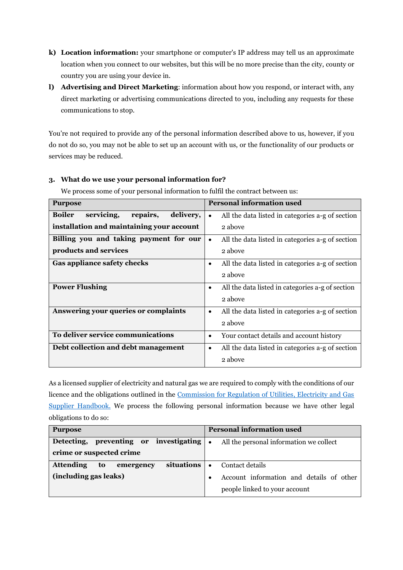- **k) Location information:** your smartphone or computer's IP address may tell us an approximate location when you connect to our websites, but this will be no more precise than the city, county or country you are using your device in.
- **l) Advertising and Direct Marketing**: information about how you respond, or interact with, any direct marketing or advertising communications directed to you, including any requests for these communications to stop.

You're not required to provide any of the personal information described above to us, however, if you do not do so, you may not be able to set up an account with us, or the functionality of our products or services may be reduced.

| <b>Purpose</b>                                       | <b>Personal information used</b>                              |
|------------------------------------------------------|---------------------------------------------------------------|
| servicing,<br>repairs,<br>delivery,<br><b>Boiler</b> | All the data listed in categories a-g of section              |
| installation and maintaining your account            | 2 above                                                       |
| Billing you and taking payment for our               | All the data listed in categories a-g of section<br>$\bullet$ |
| products and services                                | 2 above                                                       |
| Gas appliance safety checks                          | All the data listed in categories a-g of section<br>٠         |
|                                                      | 2 above                                                       |
| <b>Power Flushing</b>                                | All the data listed in categories a-g of section<br>$\bullet$ |
|                                                      | 2 above                                                       |
| Answering your queries or complaints                 | All the data listed in categories a-g of section<br>$\bullet$ |
|                                                      | 2 above                                                       |
| To deliver service communications                    | Your contact details and account history<br>$\bullet$         |
| Debt collection and debt management                  | All the data listed in categories a-g of section<br>$\bullet$ |
|                                                      | 2 above                                                       |

## **3. What do we use your personal information for?**

We process some of your personal information to fulfil the contract between us:

As a licensed supplier of electricity and natural gas we are required to comply with the conditions of our licence and the obligations outlined in the [Commission for Regulation of Utilities, Electricity and Gas](https://www.cru.ie/wp-content/uploads/2019/11/CRU19138-Electricity-and-Gas-Suppliers-Handbook-2019-.pdf)  [Supplier Handbook.](https://www.cru.ie/wp-content/uploads/2019/11/CRU19138-Electricity-and-Gas-Suppliers-Handbook-2019-.pdf) We process the following personal information because we have other legal obligations to do so:

| <b>Purpose</b>                                    | <b>Personal information used</b>         |
|---------------------------------------------------|------------------------------------------|
| Detecting, preventing or investigating .          | All the personal information we collect  |
| crime or suspected crime                          |                                          |
| situations<br><b>Attending</b><br>to<br>emergency | Contact details<br>$\bullet$             |
| (including gas leaks)                             | Account information and details of other |
|                                                   | people linked to your account            |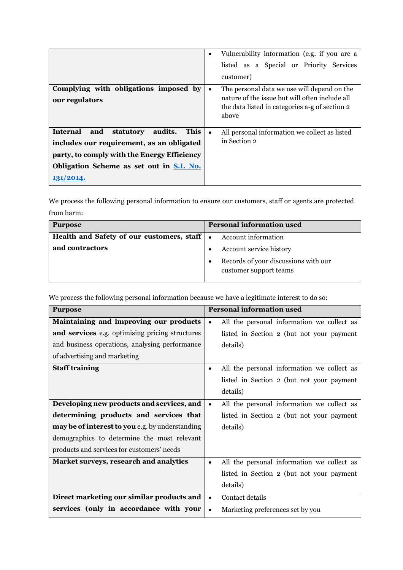|                                                 | Vulnerability information (e.g. if you are a<br>$\bullet$  |
|-------------------------------------------------|------------------------------------------------------------|
|                                                 | listed as a Special or Priority Services                   |
|                                                 | customer)                                                  |
| Complying with obligations imposed by           | The personal data we use will depend on the<br>$\bullet$   |
| our regulators                                  | nature of the issue but will often include all             |
|                                                 | the data listed in categories a-g of section 2<br>above    |
|                                                 |                                                            |
| This<br>Internal<br>audits.<br>and<br>statutory | All personal information we collect as listed<br>$\bullet$ |
| includes our requirement, as an obligated       | in Section 2                                               |
| party, to comply with the Energy Efficiency     |                                                            |
| Obligation Scheme as set out in S.I. No.        |                                                            |
| 131/2014.                                       |                                                            |

We process the following personal information to ensure our customers, staff or agents are protected from harm:

| <b>Purpose</b>                                | <b>Personal information used</b>                               |
|-----------------------------------------------|----------------------------------------------------------------|
| Health and Safety of our customers, staff   • | <b>Account information</b>                                     |
| and contractors                               | Account service history                                        |
|                                               | Records of your discussions with our<br>customer support teams |

We process the following personal information because we have a legitimate interest to do so:

| <b>Purpose</b>                                  | <b>Personal information used</b>                        |
|-------------------------------------------------|---------------------------------------------------------|
| Maintaining and improving our products          | All the personal information we collect as<br>$\bullet$ |
| and services e.g. optimising pricing structures | listed in Section 2 (but not your payment               |
| and business operations, analysing performance  | details)                                                |
| of advertising and marketing                    |                                                         |
| <b>Staff training</b>                           | All the personal information we collect as<br>$\bullet$ |
|                                                 | listed in Section 2 (but not your payment               |
|                                                 | details)                                                |
| Developing new products and services, and       | All the personal information we collect as              |
| determining products and services that          | listed in Section 2 (but not your payment               |
| may be of interest to you e.g. by understanding | details)                                                |
| demographics to determine the most relevant     |                                                         |
| products and services for customers' needs      |                                                         |
| Market surveys, research and analytics          | All the personal information we collect as<br>$\bullet$ |
|                                                 | listed in Section 2 (but not your payment               |
|                                                 | details)                                                |
| Direct marketing our similar products and       | Contact details<br>$\bullet$                            |
| services (only in accordance with your          | Marketing preferences set by you<br>$\bullet$           |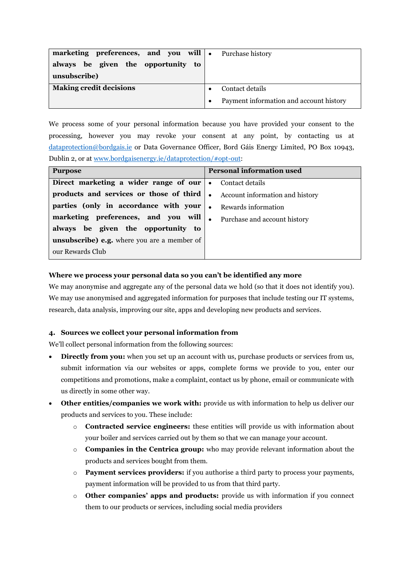| marketing preferences, and you will . | Purchase history                        |
|---------------------------------------|-----------------------------------------|
| always be given the opportunity to    |                                         |
| unsubscribe)                          |                                         |
| <b>Making credit decisions</b>        | Contact details                         |
|                                       | Payment information and account history |

We process some of your personal information because you have provided your consent to the processing, however you may revoke your consent at any point, by contacting us at [dataprotection@bordgais.ie](mailto:dataprotection@bordgais.ie) or Data Governance Officer, Bord Gáis Energy Limited, PO Box 10943, Dublin 2, or at [www.bordgaisenergy.ie/dataprotection/#opt-out:](http://www.bordgaisenergy.ie/dataprotection/#opt-out)

| <b>Purpose</b>                                     | <b>Personal information used</b>             |
|----------------------------------------------------|----------------------------------------------|
| Direct marketing a wider range of our              | Contact details<br>$\bullet$                 |
| products and services or those of third            | Account information and history<br>$\bullet$ |
| parties (only in accordance with your              | Rewards information<br>$\bullet$             |
| marketing preferences, and you will                | Purchase and account history<br>$\bullet$    |
| always be given the opportunity to                 |                                              |
| <b>unsubscribe)</b> e.g. where you are a member of |                                              |
| our Rewards Club                                   |                                              |

### **Where we process your personal data so you can't be identified any more**

We may anonymise and aggregate any of the personal data we hold (so that it does not identify you). We may use anonymised and aggregated information for purposes that include testing our IT systems, research, data analysis, improving our site, apps and developing new products and services.

### **4. Sources we collect your personal information from**

We'll collect personal information from the following sources:

- **Directly from you:** when you set up an account with us, purchase products or services from us, submit information via our websites or apps, complete forms we provide to you, enter our competitions and promotions, make a complaint, contact us by phone, email or communicate with us directly in some other way.
- **Other entities/companies we work with:** provide us with information to help us deliver our products and services to you. These include:
	- o **Contracted service engineers:** these entities will provide us with information about your boiler and services carried out by them so that we can manage your account.
	- o **Companies in the Centrica group:** who may provide relevant information about the products and services bought from them.
	- o **Payment services providers:** if you authorise a third party to process your payments, payment information will be provided to us from that third party.
	- o **Other companies' apps and products:** provide us with information if you connect them to our products or services, including social media providers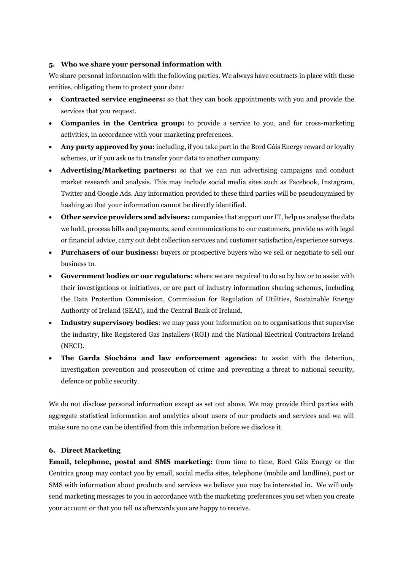### **5. Who we share your personal information with**

We share personal information with the following parties. We always have contracts in place with these entities, obligating them to protect your data:

- **Contracted service engineers:** so that they can book appointments with you and provide the services that you request.
- **Companies in the Centrica group:** to provide a service to you, and for cross-marketing activities, in accordance with your marketing preferences.
- **Any party approved by you:** including, if you take part in the Bord Gáis Energy reward or loyalty schemes, or if you ask us to transfer your data to another company.
- **Advertising/Marketing partners:** so that we can run advertising campaigns and conduct market research and analysis. This may include social media sites such as Facebook, Instagram, Twitter and Google Ads. Any information provided to these third parties will be pseudonymised by hashing so that your information cannot be directly identified.
- **Other service providers and advisors:** companies that support our IT, help us analyse the data we hold, process bills and payments, send communications to our customers, provide us with legal or financial advice, carry out debt collection services and customer satisfaction/experience surveys.
- **Purchasers of our business:** buyers or prospective buyers who we sell or negotiate to sell our business to.
- **Government bodies or our regulators:** where we are required to do so by law or to assist with their investigations or initiatives, or are part of industry information sharing schemes, including the Data Protection Commission, Commission for Regulation of Utilities, Sustainable Energy Authority of Ireland (SEAI), and the Central Bank of Ireland.
- **Industry supervisory bodies**: we may pass your information on to organisations that supervise the industry, like Registered Gas Installers (RGI) and the National Electrical Contractors Ireland (NECI).
- **The Garda Síochána and law enforcement agencies:** to assist with the detection, investigation prevention and prosecution of crime and preventing a threat to national security, defence or public security.

We do not disclose personal information except as set out above. We may provide third parties with aggregate statistical information and analytics about users of our products and services and we will make sure no one can be identified from this information before we disclose it.

## **6. Direct Marketing**

**Email, telephone, postal and SMS marketing:** from time to time, Bord Gáis Energy or the Centrica group may contact you by email, social media sites, telephone (mobile and landline), post or SMS with information about products and services we believe you may be interested in. We will only send marketing messages to you in accordance with the marketing preferences you set when you create your account or that you tell us afterwards you are happy to receive.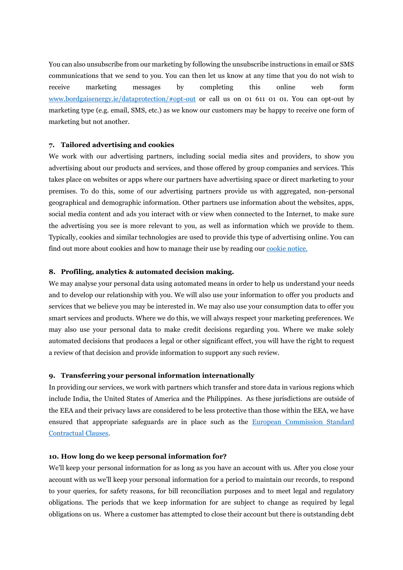You can also unsubscribe from our marketing by following the unsubscribe instructions in email or SMS communications that we send to you. You can then let us know at any time that you do not wish to receive marketing messages by completing this online web form [www.bordgaisenergy.ie/dataprotection/#opt-out](http://www.bordgaisenergy.ie/dataprotection/#opt-out) or call us on 01 611 01 01. You can opt-out by marketing type (e.g. email, SMS, etc.) as we know our customers may be happy to receive one form of marketing but not another.

#### **7. Tailored advertising and cookies**

We work with our advertising partners, including social media sites and providers, to show you advertising about our products and services, and those offered by group companies and services. This takes place on websites or apps where our partners have advertising space or direct marketing to your premises. To do this, some of our advertising partners provide us with aggregated, non-personal geographical and demographic information. Other partners use information about the websites, apps, social media content and ads you interact with or view when connected to the Internet, to make sure the advertising you see is more relevant to you, as well as information which we provide to them. Typically, cookies and similar technologies are used to provide this type of advertising online. You can find out more about cookies and how to manage their use by reading ou[r cookie notice.](https://www.bordgaisenergy.ie/resources/cookie-notice) 

#### **8. Profiling, analytics & automated decision making.**

We may analyse your personal data using automated means in order to help us understand your needs and to develop our relationship with you. We will also use your information to offer you products and services that we believe you may be interested in. We may also use your consumption data to offer you smart services and products. Where we do this, we will always respect your marketing preferences. We may also use your personal data to make credit decisions regarding you. Where we make solely automated decisions that produces a legal or other significant effect, you will have the right to request a review of that decision and provide information to support any such review.

### **9. Transferring your personal information internationally**

In providing our services, we work with partners which transfer and store data in various regions which include India, the United States of America and the Philippines. As these jurisdictions are outside of the EEA and their privacy laws are considered to be less protective than those within the EEA, we have ensured that appropriate safeguards are in place such as the European [Commission Standard](https://ec.europa.eu/info/law/law-topic/data-protection/international-dimension-data-protection/standard-contractual-clauses-scc/standard-contractual-clauses-international-transfers_en)  [Contractual Clauses.](https://ec.europa.eu/info/law/law-topic/data-protection/international-dimension-data-protection/standard-contractual-clauses-scc/standard-contractual-clauses-international-transfers_en)

### **10. How long do we keep personal information for?**

We'll keep your personal information for as long as you have an account with us. After you close your account with us we'll keep your personal information for a period to maintain our records, to respond to your queries, for safety reasons, for bill reconciliation purposes and to meet legal and regulatory obligations. The periods that we keep information for are subject to change as required by legal obligations on us. Where a customer has attempted to close their account but there is outstanding debt